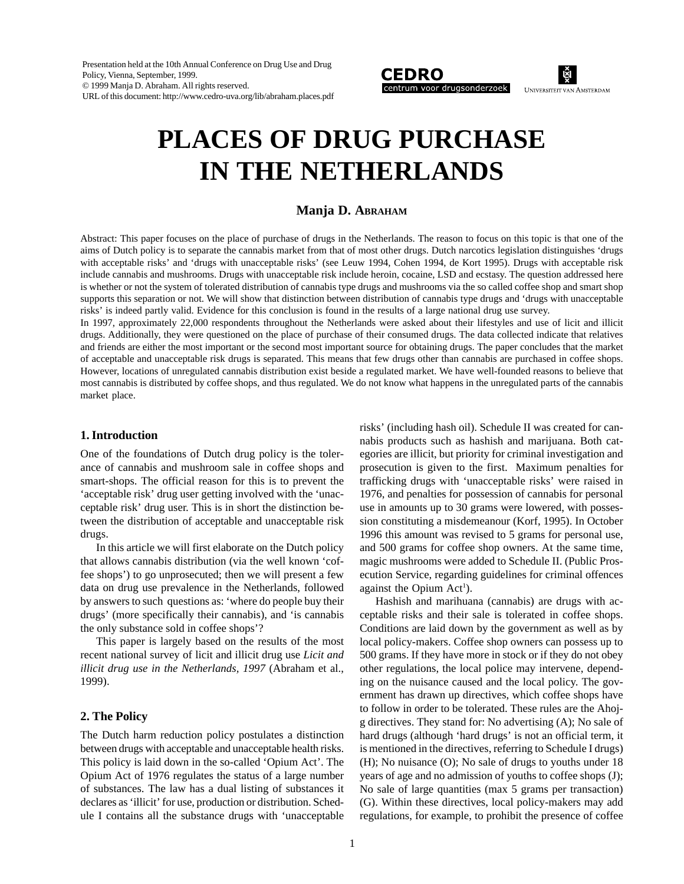Presentation held at the 10th Annual Conference on Drug Use and Drug Policy, Vienna, September, 1999. © 1999 Manja D. Abraham. All rights reserved. URL of this document: http://www.cedro-uva.org/lib/abraham.places.pdf



હૈા **UNIVERSITEIT VAN AMSTERDAM** 

# **PLACES OF DRUG PURCHASE IN THE NETHERLANDS**

# **Manja D. ABRAHAM**

Abstract: This paper focuses on the place of purchase of drugs in the Netherlands. The reason to focus on this topic is that one of the aims of Dutch policy is to separate the cannabis market from that of most other drugs. Dutch narcotics legislation distinguishes 'drugs with acceptable risks' and 'drugs with unacceptable risks' (see Leuw 1994, Cohen 1994, de Kort 1995). Drugs with acceptable risk include cannabis and mushrooms. Drugs with unacceptable risk include heroin, cocaine, LSD and ecstasy. The question addressed here is whether or not the system of tolerated distribution of cannabis type drugs and mushrooms via the so called coffee shop and smart shop supports this separation or not. We will show that distinction between distribution of cannabis type drugs and 'drugs with unacceptable risks' is indeed partly valid. Evidence for this conclusion is found in the results of a large national drug use survey.

In 1997, approximately 22,000 respondents throughout the Netherlands were asked about their lifestyles and use of licit and illicit drugs. Additionally, they were questioned on the place of purchase of their consumed drugs. The data collected indicate that relatives and friends are either the most important or the second most important source for obtaining drugs. The paper concludes that the market of acceptable and unacceptable risk drugs is separated. This means that few drugs other than cannabis are purchased in coffee shops. However, locations of unregulated cannabis distribution exist beside a regulated market. We have well-founded reasons to believe that most cannabis is distributed by coffee shops, and thus regulated. We do not know what happens in the unregulated parts of the cannabis market place.

#### **1. Introduction**

One of the foundations of Dutch drug policy is the tolerance of cannabis and mushroom sale in coffee shops and smart-shops. The official reason for this is to prevent the 'acceptable risk' drug user getting involved with the 'unacceptable risk' drug user. This is in short the distinction between the distribution of acceptable and unacceptable risk drugs.

In this article we will first elaborate on the Dutch policy that allows cannabis distribution (via the well known 'coffee shops') to go unprosecuted; then we will present a few data on drug use prevalence in the Netherlands, followed by answers to such questions as: 'where do people buy their drugs' (more specifically their cannabis), and 'is cannabis the only substance sold in coffee shops'?

This paper is largely based on the results of the most recent national survey of licit and illicit drug use *Licit and illicit drug use in the Netherlands, 1997* (Abraham et al., 1999).

#### **2. The Policy**

The Dutch harm reduction policy postulates a distinction between drugs with acceptable and unacceptable health risks. This policy is laid down in the so-called 'Opium Act'. The Opium Act of 1976 regulates the status of a large number of substances. The law has a dual listing of substances it declares as 'illicit' for use, production or distribution. Schedule I contains all the substance drugs with 'unacceptable

risks' (including hash oil). Schedule II was created for cannabis products such as hashish and marijuana. Both categories are illicit, but priority for criminal investigation and prosecution is given to the first. Maximum penalties for trafficking drugs with 'unacceptable risks' were raised in 1976, and penalties for possession of cannabis for personal use in amounts up to 30 grams were lowered, with possession constituting a misdemeanour (Korf, 1995). In October 1996 this amount was revised to 5 grams for personal use, and 500 grams for coffee shop owners. At the same time, magic mushrooms were added to Schedule II. (Public Prosecution Service, regarding guidelines for criminal offences against the Opium  $Act<sup>1</sup>$ ).

Hashish and marihuana (cannabis) are drugs with acceptable risks and their sale is tolerated in coffee shops. Conditions are laid down by the government as well as by local policy-makers. Coffee shop owners can possess up to 500 grams. If they have more in stock or if they do not obey other regulations, the local police may intervene, depending on the nuisance caused and the local policy. The government has drawn up directives, which coffee shops have to follow in order to be tolerated. These rules are the Ahojg directives. They stand for: No advertising (A); No sale of hard drugs (although 'hard drugs' is not an official term, it is mentioned in the directives, referring to Schedule I drugs) (H); No nuisance (O); No sale of drugs to youths under 18 years of age and no admission of youths to coffee shops (J); No sale of large quantities (max 5 grams per transaction) (G). Within these directives, local policy-makers may add regulations, for example, to prohibit the presence of coffee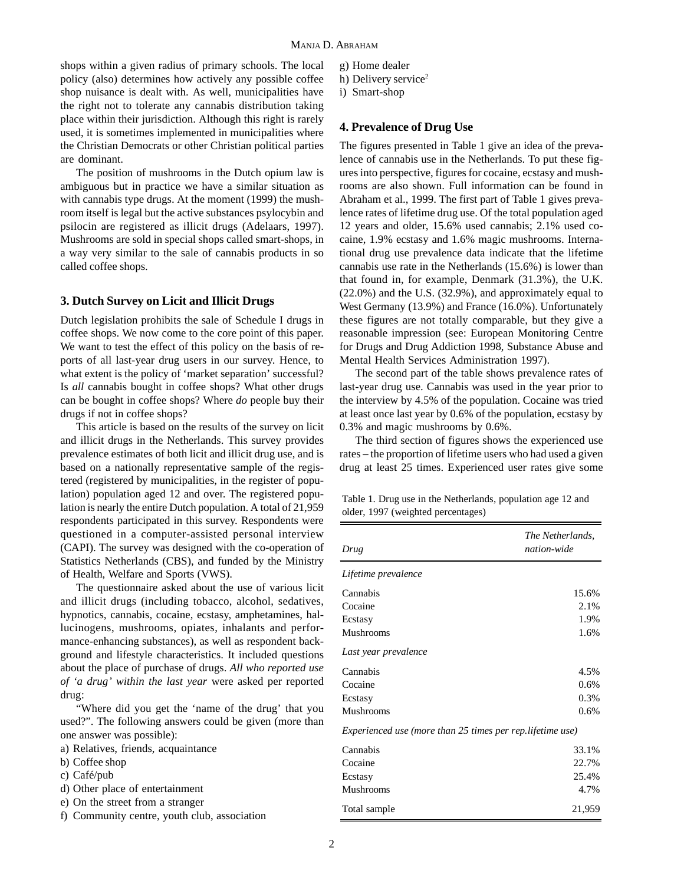shops within a given radius of primary schools. The local policy (also) determines how actively any possible coffee shop nuisance is dealt with. As well, municipalities have the right not to tolerate any cannabis distribution taking place within their jurisdiction. Although this right is rarely used, it is sometimes implemented in municipalities where the Christian Democrats or other Christian political parties are dominant.

The position of mushrooms in the Dutch opium law is ambiguous but in practice we have a similar situation as with cannabis type drugs. At the moment (1999) the mushroom itself is legal but the active substances psylocybin and psilocin are registered as illicit drugs (Adelaars, 1997). Mushrooms are sold in special shops called smart-shops, in a way very similar to the sale of cannabis products in so called coffee shops.

# **3. Dutch Survey on Licit and Illicit Drugs**

Dutch legislation prohibits the sale of Schedule I drugs in coffee shops. We now come to the core point of this paper. We want to test the effect of this policy on the basis of reports of all last-year drug users in our survey. Hence, to what extent is the policy of 'market separation' successful? Is *all* cannabis bought in coffee shops? What other drugs can be bought in coffee shops? Where *do* people buy their drugs if not in coffee shops?

This article is based on the results of the survey on licit and illicit drugs in the Netherlands. This survey provides prevalence estimates of both licit and illicit drug use, and is based on a nationally representative sample of the registered (registered by municipalities, in the register of population) population aged 12 and over. The registered population is nearly the entire Dutch population. A total of 21,959 respondents participated in this survey. Respondents were questioned in a computer-assisted personal interview (CAPI). The survey was designed with the co-operation of Statistics Netherlands (CBS), and funded by the Ministry of Health, Welfare and Sports (VWS).

The questionnaire asked about the use of various licit and illicit drugs (including tobacco, alcohol, sedatives, hypnotics, cannabis, cocaine, ecstasy, amphetamines, hallucinogens, mushrooms, opiates, inhalants and performance-enhancing substances), as well as respondent background and lifestyle characteristics. It included questions about the place of purchase of drugs. *All who reported use of 'a drug' within the last year* were asked per reported drug:

"Where did you get the 'name of the drug' that you used?". The following answers could be given (more than one answer was possible):

- a) Relatives, friends, acquaintance
- b) Coffee shop
- c) Café/pub
- d) Other place of entertainment
- e) On the street from a stranger
- f) Community centre, youth club, association
- g) Home dealer
- h) Delivery service<sup>2</sup>
- i) Smart-shop

#### **4. Prevalence of Drug Use**

The figures presented in Table 1 give an idea of the prevalence of cannabis use in the Netherlands. To put these figures into perspective, figures for cocaine, ecstasy and mushrooms are also shown. Full information can be found in Abraham et al., 1999. The first part of Table 1 gives prevalence rates of lifetime drug use. Of the total population aged 12 years and older, 15.6% used cannabis; 2.1% used cocaine, 1.9% ecstasy and 1.6% magic mushrooms. International drug use prevalence data indicate that the lifetime cannabis use rate in the Netherlands (15.6%) is lower than that found in, for example, Denmark (31.3%), the U.K. (22.0%) and the U.S. (32.9%), and approximately equal to West Germany (13.9%) and France (16.0%). Unfortunately these figures are not totally comparable, but they give a reasonable impression (see: European Monitoring Centre for Drugs and Drug Addiction 1998, Substance Abuse and Mental Health Services Administration 1997).

The second part of the table shows prevalence rates of last-year drug use. Cannabis was used in the year prior to the interview by 4.5% of the population. Cocaine was tried at least once last year by 0.6% of the population, ecstasy by 0.3% and magic mushrooms by 0.6%.

The third section of figures shows the experienced use rates – the proportion of lifetime users who had used a given drug at least 25 times. Experienced user rates give some

| Table 1. Drug use in the Netherlands, population age 12 and |  |
|-------------------------------------------------------------|--|
| older, 1997 (weighted percentages)                          |  |

| Drug                                                       | The Netherlands,<br>nation-wide |
|------------------------------------------------------------|---------------------------------|
| Lifetime prevalence                                        |                                 |
| Cannabis                                                   | 15.6%                           |
| Cocaine                                                    | 2.1%                            |
| Ecstasy                                                    | 1.9%                            |
| <b>Mushrooms</b>                                           | 1.6%                            |
| Last year prevalence                                       |                                 |
| Cannabis                                                   | 4.5%                            |
| Cocaine                                                    | 0.6%                            |
| Ecstasy                                                    | 0.3%                            |
| Mushrooms                                                  | 0.6%                            |
| Experienced use (more than 25 times per rep. lifetime use) |                                 |
| Cannabis                                                   | 33.1%                           |
| Cocaine                                                    | 22.7%                           |
| Ecstasy                                                    | 25.4%                           |
| <b>Mushrooms</b>                                           | 4.7%                            |
| Total sample                                               | 21,959                          |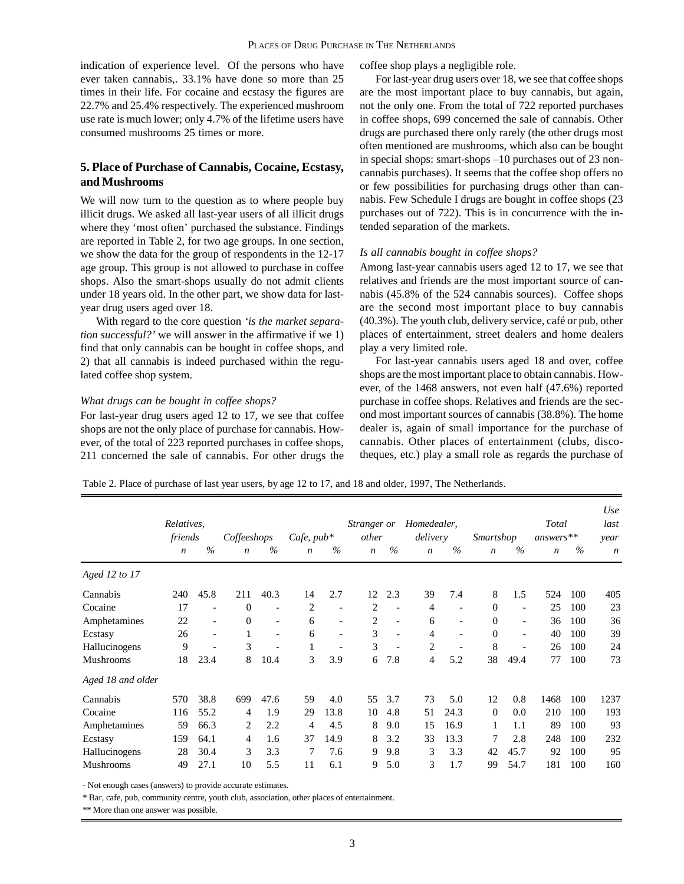indication of experience level. Of the persons who have ever taken cannabis,. 33.1% have done so more than 25 times in their life. For cocaine and ecstasy the figures are 22.7% and 25.4% respectively. The experienced mushroom use rate is much lower; only 4.7% of the lifetime users have consumed mushrooms 25 times or more.

# **5. Place of Purchase of Cannabis, Cocaine, Ecstasy, and Mushrooms**

We will now turn to the question as to where people buy illicit drugs. We asked all last-year users of all illicit drugs where they 'most often' purchased the substance. Findings are reported in Table 2, for two age groups. In one section, we show the data for the group of respondents in the 12-17 age group. This group is not allowed to purchase in coffee shops. Also the smart-shops usually do not admit clients under 18 years old. In the other part, we show data for lastyear drug users aged over 18.

With regard to the core question *'is the market separation successful?'* we will answer in the affirmative if we 1) find that only cannabis can be bought in coffee shops, and 2) that all cannabis is indeed purchased within the regulated coffee shop system.

#### *What drugs can be bought in coffee shops?*

For last-year drug users aged 12 to 17, we see that coffee shops are not the only place of purchase for cannabis. However, of the total of 223 reported purchases in coffee shops, 211 concerned the sale of cannabis. For other drugs the coffee shop plays a negligible role.

For last-year drug users over 18, we see that coffee shops are the most important place to buy cannabis, but again, not the only one. From the total of 722 reported purchases in coffee shops, 699 concerned the sale of cannabis. Other drugs are purchased there only rarely (the other drugs most often mentioned are mushrooms, which also can be bought in special shops: smart-shops –10 purchases out of 23 noncannabis purchases). It seems that the coffee shop offers no or few possibilities for purchasing drugs other than cannabis. Few Schedule I drugs are bought in coffee shops (23 purchases out of 722). This is in concurrence with the intended separation of the markets.

#### *Is all cannabis bought in coffee shops?*

Among last-year cannabis users aged 12 to 17, we see that relatives and friends are the most important source of cannabis (45.8% of the 524 cannabis sources). Coffee shops are the second most important place to buy cannabis (40.3%). The youth club, delivery service, café or pub, other places of entertainment, street dealers and home dealers play a very limited role.

For last-year cannabis users aged 18 and over, coffee shops are the most important place to obtain cannabis. However, of the 1468 answers, not even half (47.6%) reported purchase in coffee shops. Relatives and friends are the second most important sources of cannabis (38.8%). The home dealer is, again of small importance for the purchase of cannabis. Other places of entertainment (clubs, discotheques, etc.) play a small role as regards the purchase of

Table 2. Place of purchase of last year users, by age 12 to 17, and 18 and older, 1997, The Netherlands.

|                   | Relatives,<br>friends |                          |                  |                          | Coffeeshops      |                          | $Cafe$ , $pub*$  |                          | <i>Stranger or</i><br>other |                          | Homedealer,<br>delivery |                          | <i>Smartshop</i> |      | <b>Total</b><br>$answers**$ |  | Use<br>last<br>year |
|-------------------|-----------------------|--------------------------|------------------|--------------------------|------------------|--------------------------|------------------|--------------------------|-----------------------------|--------------------------|-------------------------|--------------------------|------------------|------|-----------------------------|--|---------------------|
|                   | $\boldsymbol{n}$      | $\%$                     | $\boldsymbol{n}$ | $\%$                     | $\boldsymbol{n}$ | $\%$                     | $\boldsymbol{n}$ | $\%$                     | $\boldsymbol{n}$            | $\frac{0}{0}$            | $\boldsymbol{n}$        | $\frac{0}{0}$            | $\boldsymbol{n}$ | $\%$ | $\boldsymbol{n}$            |  |                     |
| Aged 12 to 17     |                       |                          |                  |                          |                  |                          |                  |                          |                             |                          |                         |                          |                  |      |                             |  |                     |
| Cannabis          | 240                   | 45.8                     | 211              | 40.3                     | 14               | 2.7                      | 12               | 2.3                      | 39                          | 7.4                      | 8                       | 1.5                      | 524              | 100  | 405                         |  |                     |
| Cocaine           | 17                    | $\overline{\phantom{a}}$ | $\overline{0}$   | $\overline{\phantom{a}}$ | $\overline{c}$   | $\overline{\phantom{a}}$ | 2                | $\overline{\phantom{a}}$ | 4                           | $\overline{\phantom{a}}$ | $\Omega$                | $\overline{\phantom{a}}$ | 25               | 100  | 23                          |  |                     |
| Amphetamines      | 22                    | $\overline{\phantom{a}}$ | $\theta$         | $\qquad \qquad -$        | 6                | $\overline{\phantom{a}}$ | 2                | $\overline{\phantom{a}}$ | 6                           | $\overline{\phantom{a}}$ | $\mathbf{0}$            | $\overline{\phantom{a}}$ | 36               | 100  | 36                          |  |                     |
| Ecstasy           | 26                    | $\overline{\phantom{a}}$ | 1                | $\overline{\phantom{a}}$ | 6                | $\overline{\phantom{a}}$ | 3                | $\overline{\phantom{a}}$ | $\overline{4}$              | $\overline{\phantom{a}}$ | $\Omega$                | $\overline{\phantom{a}}$ | 40               | 100  | 39                          |  |                     |
| Hallucinogens     | 9                     | $\overline{\phantom{a}}$ | 3                | $\overline{\phantom{0}}$ | 1                | $\overline{\phantom{a}}$ | 3                | $\overline{\phantom{a}}$ | 2                           | $\overline{\phantom{a}}$ | 8                       | $\overline{\phantom{a}}$ | 26               | 100  | 24                          |  |                     |
| Mushrooms         | 18                    | 23.4                     | 8                | 10.4                     | 3                | 3.9                      | 6                | 7.8                      | 4                           | 5.2                      | 38                      | 49.4                     | 77               | 100  | 73                          |  |                     |
| Aged 18 and older |                       |                          |                  |                          |                  |                          |                  |                          |                             |                          |                         |                          |                  |      |                             |  |                     |
| Cannabis          | 570                   | 38.8                     | 699              | 47.6                     | 59               | 4.0                      | 55               | 3.7                      | 73                          | 5.0                      | 12                      | 0.8                      | 1468             | 100  | 1237                        |  |                     |
| Cocaine           | 116                   | 55.2                     | 4                | 1.9                      | 29               | 13.8                     | 10               | 4.8                      | 51                          | 24.3                     | $\Omega$                | 0.0                      | 210              | 100  | 193                         |  |                     |
| Amphetamines      | 59                    | 66.3                     | 2                | 2.2                      | 4                | 4.5                      | 8                | 9.0                      | 15                          | 16.9                     |                         | 1.1                      | 89               | 100  | 93                          |  |                     |
| Ecstasy           | 159                   | 64.1                     | 4                | 1.6                      | 37               | 14.9                     | 8                | 3.2                      | 33                          | 13.3                     | 7                       | 2.8                      | 248              | 100  | 232                         |  |                     |
| Hallucinogens     | 28                    | 30.4                     | 3                | 3.3                      | 7                | 7.6                      | 9                | 9.8                      | 3                           | 3.3                      | 42                      | 45.7                     | 92               | 100  | 95                          |  |                     |
| Mushrooms         | 49                    | 27.1                     | 10               | 5.5                      | 11               | 6.1                      | 9                | 5.0                      | 3                           | 1.7                      | 99                      | 54.7                     | 181              | 100  | 160                         |  |                     |

- Not enough cases (answers) to provide accurate estimates.

\* Bar, cafe, pub, community centre, youth club, association, other places of entertainment.

\*\* More than one answer was possible.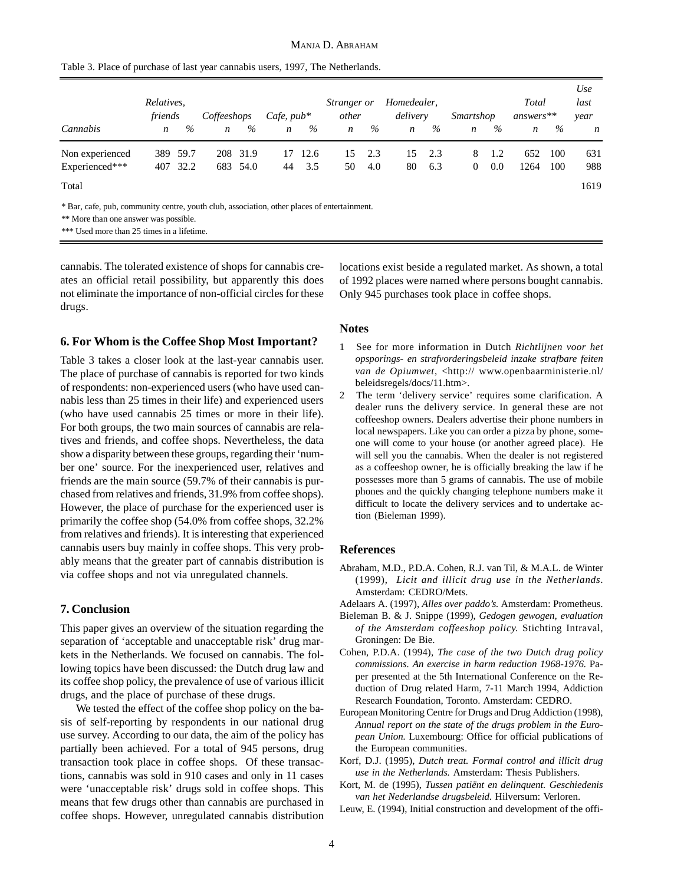|  |  | Table 3. Place of purchase of last year cannabis users, 1997, The Netherlands. |  |  |
|--|--|--------------------------------------------------------------------------------|--|--|
|--|--|--------------------------------------------------------------------------------|--|--|

|                                                                                             | Relatives,<br>friends |      | Coffeeshops      |          | Cafe, $pub*$     |      | <i>Stranger or</i><br>other |      | Homedealer,<br>delivery |      | <i>Smartshop</i> |      | Total<br>$answers**$ |      | Use<br>last<br>year |
|---------------------------------------------------------------------------------------------|-----------------------|------|------------------|----------|------------------|------|-----------------------------|------|-------------------------|------|------------------|------|----------------------|------|---------------------|
| Cannabis                                                                                    | $\boldsymbol{n}$      | $\%$ | $\boldsymbol{n}$ | $\%$     | $\boldsymbol{n}$ | $\%$ | $\boldsymbol{n}$            | $\%$ | $\boldsymbol{n}$        | $\%$ | $\boldsymbol{n}$ | $\%$ | $\boldsymbol{n}$     | $\%$ | $\boldsymbol{n}$    |
| Non experienced                                                                             | 389                   | 59.7 | 208              | 31.9     | 17               | 12.6 | 15                          | 2.3  | 15                      | 2.3  | 8                | 1.2  | 652                  | 100  | 631                 |
| Experienced***                                                                              | 407                   | 32.2 |                  | 683 54.0 | 44               | 3.5  | 50                          | 4.0  | 80                      | 6.3  | $\overline{0}$   | 0.0  | 1264                 | 100  | 988                 |
| Total                                                                                       |                       |      |                  |          |                  |      |                             |      |                         |      |                  |      |                      |      | 1619                |
| * Bar, cafe, pub, community centre, youth club, association, other places of entertainment. |                       |      |                  |          |                  |      |                             |      |                         |      |                  |      |                      |      |                     |

\*\* More than one answer was possible.

\*\*\* Used more than 25 times in a lifetime.

cannabis. The tolerated existence of shops for cannabis creates an official retail possibility, but apparently this does not eliminate the importance of non-official circles for these drugs.

#### **6. For Whom is the Coffee Shop Most Important?**

Table 3 takes a closer look at the last-year cannabis user. The place of purchase of cannabis is reported for two kinds of respondents: non-experienced users (who have used cannabis less than 25 times in their life) and experienced users (who have used cannabis 25 times or more in their life). For both groups, the two main sources of cannabis are relatives and friends, and coffee shops. Nevertheless, the data show a disparity between these groups, regarding their 'number one' source. For the inexperienced user, relatives and friends are the main source (59.7% of their cannabis is purchased from relatives and friends, 31.9% from coffee shops). However, the place of purchase for the experienced user is primarily the coffee shop (54.0% from coffee shops, 32.2% from relatives and friends). It is interesting that experienced cannabis users buy mainly in coffee shops. This very probably means that the greater part of cannabis distribution is via coffee shops and not via unregulated channels.

### **7. Conclusion**

This paper gives an overview of the situation regarding the separation of 'acceptable and unacceptable risk' drug markets in the Netherlands. We focused on cannabis. The following topics have been discussed: the Dutch drug law and its coffee shop policy, the prevalence of use of various illicit drugs, and the place of purchase of these drugs.

We tested the effect of the coffee shop policy on the basis of self-reporting by respondents in our national drug use survey. According to our data, the aim of the policy has partially been achieved. For a total of 945 persons, drug transaction took place in coffee shops. Of these transactions, cannabis was sold in 910 cases and only in 11 cases were 'unacceptable risk' drugs sold in coffee shops. This means that few drugs other than cannabis are purchased in coffee shops. However, unregulated cannabis distribution

locations exist beside a regulated market. As shown, a total of 1992 places were named where persons bought cannabis. Only 945 purchases took place in coffee shops.

#### **Notes**

- 1 See for more information in Dutch *Richtlijnen voor het opsporings- en strafvorderingsbeleid inzake strafbare feiten van de Opiumwet*, <http:// www.openbaarministerie.nl/ beleidsregels/docs/11.htm>.
- 2 The term 'delivery service' requires some clarification. A dealer runs the delivery service. In general these are not coffeeshop owners. Dealers advertise their phone numbers in local newspapers. Like you can order a pizza by phone, someone will come to your house (or another agreed place). He will sell you the cannabis. When the dealer is not registered as a coffeeshop owner, he is officially breaking the law if he possesses more than 5 grams of cannabis. The use of mobile phones and the quickly changing telephone numbers make it difficult to locate the delivery services and to undertake action (Bieleman 1999).

#### **References**

- Abraham, M.D., P.D.A. Cohen, R.J. van Til, & M.A.L. de Winter (1999), *Licit and illicit drug use in the Netherlands*. Amsterdam: CEDRO/Mets.
- Adelaars A. (1997), *Alles over paddo's.* Amsterdam: Prometheus.
- Bieleman B. & J. Snippe (1999), *Gedogen gewogen, evaluation of the Amsterdam coffeeshop policy.* Stichting Intraval, Groningen: De Bie.
- Cohen, P.D.A. (1994), *The case of the two Dutch drug policy commissions. An exercise in harm reduction 1968-1976.* Paper presented at the 5th International Conference on the Reduction of Drug related Harm, 7-11 March 1994, Addiction Research Foundation, Toronto. Amsterdam: CEDRO.
- European Monitoring Centre for Drugs and Drug Addiction (1998), *Annual report on the state of the drugs problem in the European Union.* Luxembourg: Office for official publications of the European communities.
- Korf, D.J. (1995), *Dutch treat. Formal control and illicit drug use in the Netherlands.* Amsterdam: Thesis Publishers.
- Kort, M. de (1995), *Tussen patiënt en delinquent. Geschiedenis van het Nederlandse drugsbeleid.* Hilversum: Verloren.
- Leuw, E. (1994), Initial construction and development of the offi-